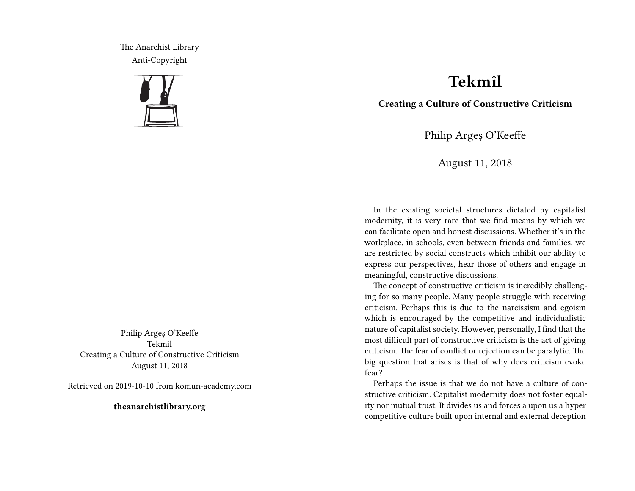The Anarchist Library Anti-Copyright



Philip Argeș O'Keeffe Tekmîl Creating a Culture of Constructive Criticism August 11, 2018

Retrieved on 2019-10-10 from komun-academy.com

**theanarchistlibrary.org**

## **Tekmîl**

**Creating a Culture of Constructive Criticism**

Philip Argeș O'Keeffe

August 11, 2018

In the existing societal structures dictated by capitalist modernity, it is very rare that we find means by which we can facilitate open and honest discussions. Whether it's in the workplace, in schools, even between friends and families, we are restricted by social constructs which inhibit our ability to express our perspectives, hear those of others and engage in meaningful, constructive discussions.

The concept of constructive criticism is incredibly challenging for so many people. Many people struggle with receiving criticism. Perhaps this is due to the narcissism and egoism which is encouraged by the competitive and individualistic nature of capitalist society. However, personally, I find that the most difficult part of constructive criticism is the act of giving criticism. The fear of conflict or rejection can be paralytic. The big question that arises is that of why does criticism evoke fear?

Perhaps the issue is that we do not have a culture of constructive criticism. Capitalist modernity does not foster equality nor mutual trust. It divides us and forces a upon us a hyper competitive culture built upon internal and external deception